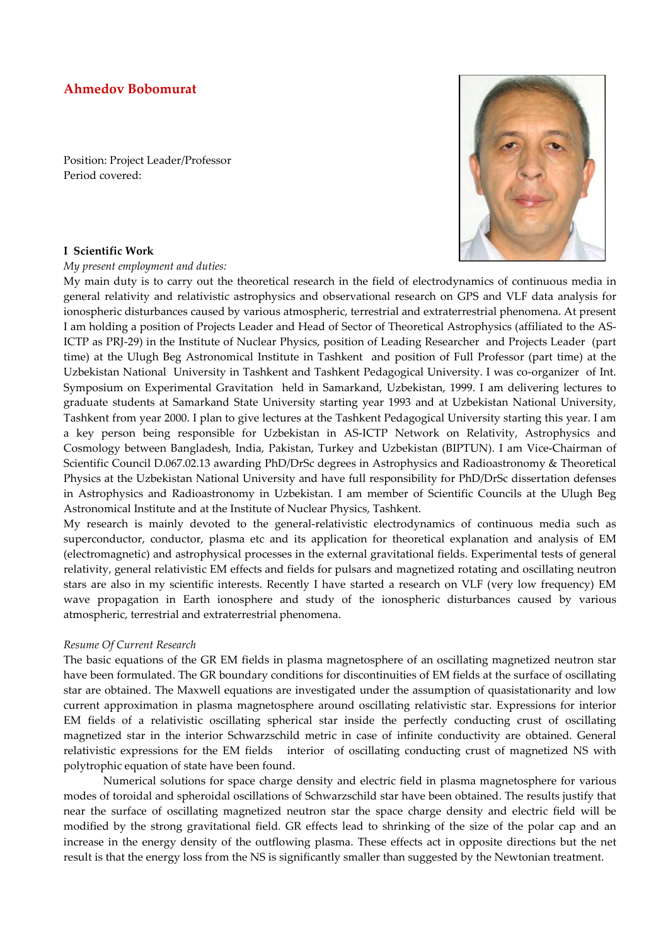# **Ahmedov Bobomurat**

Position: Project Leader/Professor Period covered:

#### **I Scientific Work**

*My present employment and duties:* 

My main duty is to carry out the theoretical research in the field of electrodynamics of continuous media in general relativity and relativistic astrophysics and observational research on GPS and VLF data analysis for ionospheric disturbances caused by various atmospheric, terrestrial and extraterrestrial phenomena. At present I am holding a position of Projects Leader and Head of Sector of Theoretical Astrophysics (affiliated to the AS-ICTP as PRJ-29) in the Institute of Nuclear Physics, position of Leading Researcher and Projects Leader (part time) at the Ulugh Beg Astronomical Institute in Tashkent and position of Full Professor (part time) at the Uzbekistan National University in Tashkent and Tashkent Pedagogical University. I was co-organizer of Int. Symposium on Experimental Gravitation held in Samarkand, Uzbekistan, 1999. I am delivering lectures to graduate students at Samarkand State University starting year 1993 and at Uzbekistan National University, Tashkent from year 2000. I plan to give lectures at the Tashkent Pedagogical University starting this year. I am a key person being responsible for Uzbekistan in AS-ICTP Network on Relativity, Astrophysics and Cosmology between Bangladesh, India, Pakistan, Turkey and Uzbekistan (BIPTUN). I am Vice-Chairman of Scientific Council D.067.02.13 awarding PhD/DrSc degrees in Astrophysics and Radioastronomy & Theoretical Physics at the Uzbekistan National University and have full responsibility for PhD/DrSc dissertation defenses in Astrophysics and Radioastronomy in Uzbekistan. I am member of Scientific Councils at the Ulugh Beg Astronomical Institute and at the Institute of Nuclear Physics, Tashkent.

My research is mainly devoted to the general-relativistic electrodynamics of continuous media such as superconductor, conductor, plasma etc and its application for theoretical explanation and analysis of EM (electromagnetic) and astrophysical processes in the external gravitational fields. Experimental tests of general relativity, general relativistic EM effects and fields for pulsars and magnetized rotating and oscillating neutron stars are also in my scientific interests. Recently I have started a research on VLF (very low frequency) EM wave propagation in Earth ionosphere and study of the ionospheric disturbances caused by various atmospheric, terrestrial and extraterrestrial phenomena.

#### *Resume Of Current Research*

The basic equations of the GR EM fields in plasma magnetosphere of an oscillating magnetized neutron star have been formulated. The GR boundary conditions for discontinuities of EM fields at the surface of oscillating star are obtained. The Maxwell equations are investigated under the assumption of quasistationarity and low current approximation in plasma magnetosphere around oscillating relativistic star. Expressions for interior EM fields of a relativistic oscillating spherical star inside the perfectly conducting crust of oscillating magnetized star in the interior Schwarzschild metric in case of infinite conductivity are obtained. General relativistic expressions for the EM fields interior of oscillating conducting crust of magnetized NS with polytrophic equation of state have been found.

 Numerical solutions for space charge density and electric field in plasma magnetosphere for various modes of toroidal and spheroidal oscillations of Schwarzschild star have been obtained. The results justify that near the surface of oscillating magnetized neutron star the space charge density and electric field will be modified by the strong gravitational field. GR effects lead to shrinking of the size of the polar cap and an increase in the energy density of the outflowing plasma. These effects act in opposite directions but the net result is that the energy loss from the NS is significantly smaller than suggested by the Newtonian treatment.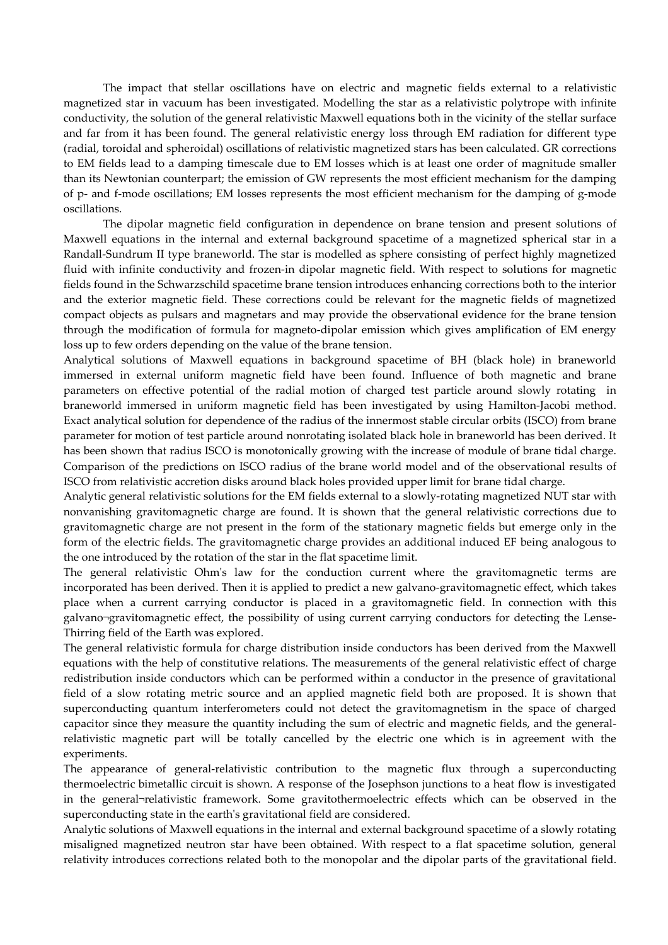The impact that stellar oscillations have on electric and magnetic fields external to a relativistic magnetized star in vacuum has been investigated. Modelling the star as a relativistic polytrope with infinite conductivity, the solution of the general relativistic Maxwell equations both in the vicinity of the stellar surface and far from it has been found. The general relativistic energy loss through EM radiation for different type (radial, toroidal and spheroidal) oscillations of relativistic magnetized stars has been calculated. GR corrections to EM fields lead to a damping timescale due to EM losses which is at least one order of magnitude smaller than its Newtonian counterpart; the emission of GW represents the most efficient mechanism for the damping of p- and f-mode oscillations; EM losses represents the most efficient mechanism for the damping of g-mode oscillations.

 The dipolar magnetic field configuration in dependence on brane tension and present solutions of Maxwell equations in the internal and external background spacetime of a magnetized spherical star in a Randall-Sundrum II type braneworld. The star is modelled as sphere consisting of perfect highly magnetized fluid with infinite conductivity and frozen-in dipolar magnetic field. With respect to solutions for magnetic fields found in the Schwarzschild spacetime brane tension introduces enhancing corrections both to the interior and the exterior magnetic field. These corrections could be relevant for the magnetic fields of magnetized compact objects as pulsars and magnetars and may provide the observational evidence for the brane tension through the modification of formula for magneto-dipolar emission which gives amplification of EM energy loss up to few orders depending on the value of the brane tension.

Analytical solutions of Maxwell equations in background spacetime of BH (black hole) in braneworld immersed in external uniform magnetic field have been found. Influence of both magnetic and brane parameters on effective potential of the radial motion of charged test particle around slowly rotating in braneworld immersed in uniform magnetic field has been investigated by using Hamilton-Jacobi method. Exact analytical solution for dependence of the radius of the innermost stable circular orbits (ISCO) from brane parameter for motion of test particle around nonrotating isolated black hole in braneworld has been derived. It has been shown that radius ISCO is monotonically growing with the increase of module of brane tidal charge. Comparison of the predictions on ISCO radius of the brane world model and of the observational results of ISCO from relativistic accretion disks around black holes provided upper limit for brane tidal charge.

Analytic general relativistic solutions for the EM fields external to a slowly-rotating magnetized NUT star with nonvanishing gravitomagnetic charge are found. It is shown that the general relativistic corrections due to gravitomagnetic charge are not present in the form of the stationary magnetic fields but emerge only in the form of the electric fields. The gravitomagnetic charge provides an additional induced EF being analogous to the one introduced by the rotation of the star in the flat spacetime limit.

The general relativistic Ohm's law for the conduction current where the gravitomagnetic terms are incorporated has been derived. Then it is applied to predict a new galvano-gravitomagnetic effect, which takes place when a current carrying conductor is placed in a gravitomagnetic field. In connection with this galvano¬gravitomagnetic effect, the possibility of using current carrying conductors for detecting the Lense-Thirring field of the Earth was explored.

The general relativistic formula for charge distribution inside conductors has been derived from the Maxwell equations with the help of constitutive relations. The measurements of the general relativistic effect of charge redistribution inside conductors which can be performed within a conductor in the presence of gravitational field of a slow rotating metric source and an applied magnetic field both are proposed. It is shown that superconducting quantum interferometers could not detect the gravitomagnetism in the space of charged capacitor since they measure the quantity including the sum of electric and magnetic fields, and the generalrelativistic magnetic part will be totally cancelled by the electric one which is in agreement with the experiments.

The appearance of general-relativistic contribution to the magnetic flux through a superconducting thermoelectric bimetallic circuit is shown. A response of the Josephson junctions to a heat flow is investigated in the general¬relativistic framework. Some gravitothermoelectric effects which can be observed in the superconducting state in the earth's gravitational field are considered.

Analytic solutions of Maxwell equations in the internal and external background spacetime of a slowly rotating misaligned magnetized neutron star have been obtained. With respect to a flat spacetime solution, general relativity introduces corrections related both to the monopolar and the dipolar parts of the gravitational field.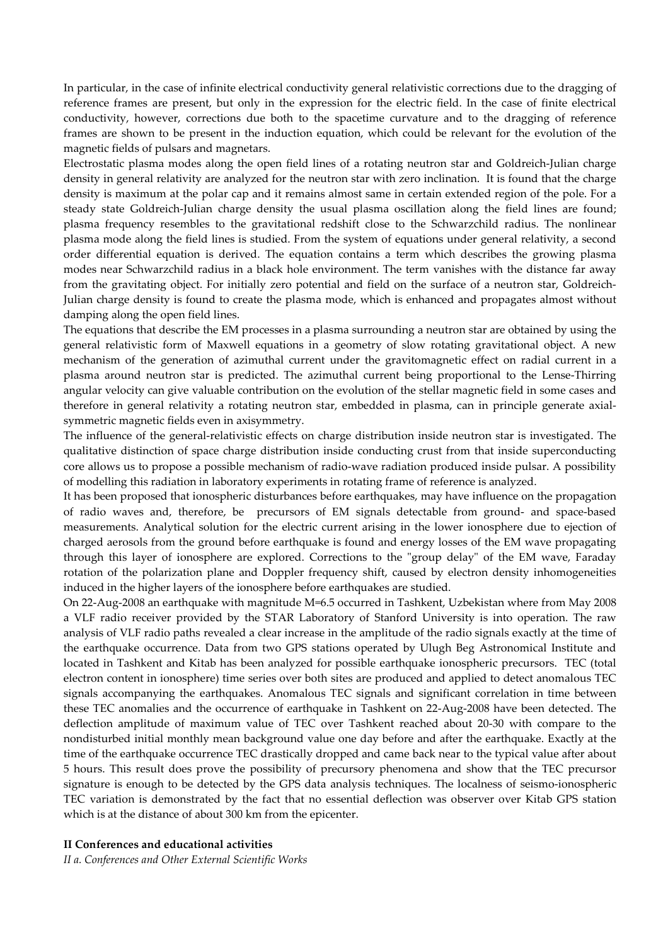In particular, in the case of infinite electrical conductivity general relativistic corrections due to the dragging of reference frames are present, but only in the expression for the electric field. In the case of finite electrical conductivity, however, corrections due both to the spacetime curvature and to the dragging of reference frames are shown to be present in the induction equation, which could be relevant for the evolution of the magnetic fields of pulsars and magnetars.

Electrostatic plasma modes along the open field lines of a rotating neutron star and Goldreich-Julian charge density in general relativity are analyzed for the neutron star with zero inclination. It is found that the charge density is maximum at the polar cap and it remains almost same in certain extended region of the pole. For a steady state Goldreich-Julian charge density the usual plasma oscillation along the field lines are found; plasma frequency resembles to the gravitational redshift close to the Schwarzchild radius. The nonlinear plasma mode along the field lines is studied. From the system of equations under general relativity, a second order differential equation is derived. The equation contains a term which describes the growing plasma modes near Schwarzchild radius in a black hole environment. The term vanishes with the distance far away from the gravitating object. For initially zero potential and field on the surface of a neutron star, Goldreich-Julian charge density is found to create the plasma mode, which is enhanced and propagates almost without damping along the open field lines.

The equations that describe the EM processes in a plasma surrounding a neutron star are obtained by using the general relativistic form of Maxwell equations in a geometry of slow rotating gravitational object. A new mechanism of the generation of azimuthal current under the gravitomagnetic effect on radial current in a plasma around neutron star is predicted. The azimuthal current being proportional to the Lense-Thirring angular velocity can give valuable contribution on the evolution of the stellar magnetic field in some cases and therefore in general relativity a rotating neutron star, embedded in plasma, can in principle generate axialsymmetric magnetic fields even in axisymmetry.

The influence of the general-relativistic effects on charge distribution inside neutron star is investigated. The qualitative distinction of space charge distribution inside conducting crust from that inside superconducting core allows us to propose a possible mechanism of radio-wave radiation produced inside pulsar. A possibility of modelling this radiation in laboratory experiments in rotating frame of reference is analyzed.

It has been proposed that ionospheric disturbances before earthquakes, may have influence on the propagation of radio waves and, therefore, be precursors of EM signals detectable from ground- and space-based measurements. Analytical solution for the electric current arising in the lower ionosphere due to ejection of charged aerosols from the ground before earthquake is found and energy losses of the EM wave propagating through this layer of ionosphere are explored. Corrections to the "group delay" of the EM wave, Faraday rotation of the polarization plane and Doppler frequency shift, caused by electron density inhomogeneities induced in the higher layers of the ionosphere before earthquakes are studied.

On 22-Aug-2008 an earthquake with magnitude M=6.5 occurred in Tashkent, Uzbekistan where from May 2008 a VLF radio receiver provided by the STAR Laboratory of Stanford University is into operation. The raw analysis of VLF radio paths revealed a clear increase in the amplitude of the radio signals exactly at the time of the earthquake occurrence. Data from two GPS stations operated by Ulugh Beg Astronomical Institute and located in Tashkent and Kitab has been analyzed for possible earthquake ionospheric precursors. TEC (total electron content in ionosphere) time series over both sites are produced and applied to detect anomalous TEC signals accompanying the earthquakes. Anomalous TEC signals and significant correlation in time between these TEC anomalies and the occurrence of earthquake in Tashkent on 22-Aug-2008 have been detected. The deflection amplitude of maximum value of TEC over Tashkent reached about 20-30 with compare to the nondisturbed initial monthly mean background value one day before and after the earthquake. Exactly at the time of the earthquake occurrence TEC drastically dropped and came back near to the typical value after about 5 hours. This result does prove the possibility of precursory phenomena and show that the TEC precursor signature is enough to be detected by the GPS data analysis techniques. The localness of seismo-ionospheric TEC variation is demonstrated by the fact that no essential deflection was observer over Kitab GPS station which is at the distance of about 300 km from the epicenter.

#### **II Conferences and educational activities**

*II a. Conferences and Other External Scientific Works*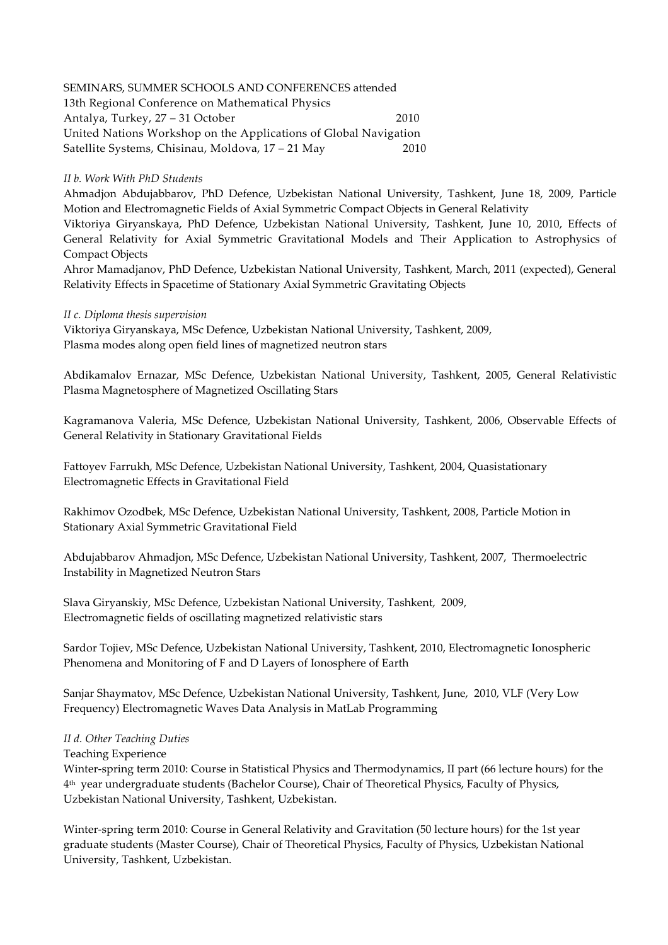# SEMINARS, SUMMER SCHOOLS AND CONFERENCES attended

13th Regional Conference on Mathematical Physics Antalya, Turkey, 27 – 31 October 2010 United Nations Workshop on the Applications of Global Navigation Satellite Systems, Chisinau, Moldova, 17 – 21 May 2010

## *II b. Work With PhD Students*

Ahmadjon Abdujabbarov, PhD Defence, Uzbekistan National University, Tashkent, June 18, 2009, Particle Motion and Electromagnetic Fields of Axial Symmetric Compact Objects in General Relativity

Viktoriya Giryanskaya, PhD Defence, Uzbekistan National University, Tashkent, June 10, 2010, Effects of General Relativity for Axial Symmetric Gravitational Models and Their Application to Astrophysics of Compact Objects

Ahror Mamadjanov, PhD Defence, Uzbekistan National University, Tashkent, March, 2011 (expected), General Relativity Effects in Spacetime of Stationary Axial Symmetric Gravitating Objects

## *II c. Diploma thesis supervision*

Viktoriya Giryanskaya, MSc Defence, Uzbekistan National University, Tashkent, 2009, Plasma modes along open field lines of magnetized neutron stars

Abdikamalov Ernazar, MSc Defence, Uzbekistan National University, Tashkent, 2005, General Relativistic Plasma Magnetosphere of Magnetized Oscillating Stars

Kagramanova Valeria, MSc Defence, Uzbekistan National University, Tashkent, 2006, Observable Effects of General Relativity in Stationary Gravitational Fields

Fattoyev Farrukh, MSc Defence, Uzbekistan National University, Tashkent, 2004, Quasistationary Electromagnetic Effects in Gravitational Field

Rakhimov Ozodbek, MSc Defence, Uzbekistan National University, Tashkent, 2008, Particle Motion in Stationary Axial Symmetric Gravitational Field

Abdujabbarov Ahmadjon, MSc Defence, Uzbekistan National University, Tashkent, 2007, Thermoelectric Instability in Magnetized Neutron Stars

Slava Giryanskiy, MSc Defence, Uzbekistan National University, Tashkent, 2009, Electromagnetic fields of oscillating magnetized relativistic stars

Sardor Tojiev, MSc Defence, Uzbekistan National University, Tashkent, 2010, Electromagnetic Ionospheric Phenomena and Monitoring of F and D Layers of Ionosphere of Earth

Sanjar Shaymatov, MSc Defence, Uzbekistan National University, Tashkent, June, 2010, VLF (Very Low Frequency) Electromagnetic Waves Data Analysis in MatLab Programming

## *II d. Other Teaching Duties*

Teaching Experience

Winter-spring term 2010: Course in Statistical Physics and Thermodynamics, II part (66 lecture hours) for the 4 th year undergraduate students (Bachelor Course), Chair of Theoretical Physics, Faculty of Physics, Uzbekistan National University, Tashkent, Uzbekistan.

Winter-spring term 2010: Course in General Relativity and Gravitation (50 lecture hours) for the 1st year graduate students (Master Course), Chair of Theoretical Physics, Faculty of Physics, Uzbekistan National University, Tashkent, Uzbekistan.